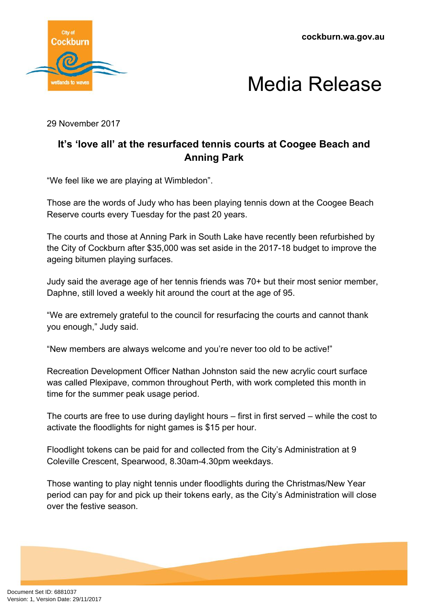**cockburn.wa.gov.au**





29 November 2017

## **It's 'love all' at the resurfaced tennis courts at Coogee Beach and Anning Park**

"We feel like we are playing at Wimbledon".

Those are the words of Judy who has been playing tennis down at the Coogee Beach Reserve courts every Tuesday for the past 20 years.

The courts and those at Anning Park in South Lake have recently been refurbished by the City of Cockburn after \$35,000 was set aside in the 2017-18 budget to improve the ageing bitumen playing surfaces.

Judy said the average age of her tennis friends was 70+ but their most senior member, Daphne, still loved a weekly hit around the court at the age of 95.

"We are extremely grateful to the council for resurfacing the courts and cannot thank you enough," Judy said.

"New members are always welcome and you're never too old to be active!"

Recreation Development Officer Nathan Johnston said the new acrylic court surface was called Plexipave, common throughout Perth, with work completed this month in time for the summer peak usage period.

The courts are free to use during daylight hours – first in first served – while the cost to activate the floodlights for night games is \$15 per hour.

Floodlight tokens can be paid for and collected from the City's Administration at 9 Coleville Crescent, Spearwood, 8.30am-4.30pm weekdays.

Those wanting to play night tennis under floodlights during the Christmas/New Year period can pay for and pick up their tokens early, as the City's Administration will close over the festive season.